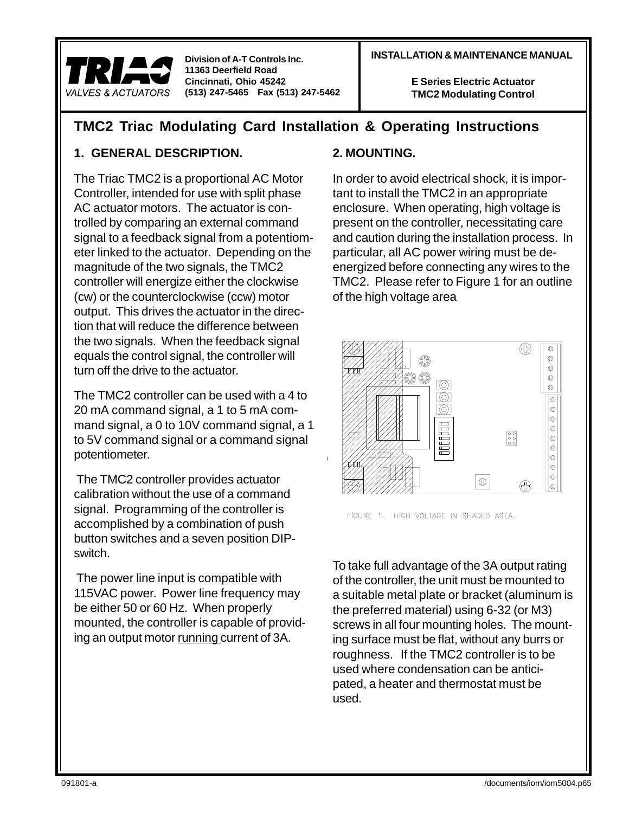#### **INSTALLATION & MAINTENANCE MANUAL Division of A-T Controls Inc.**

**E Series Electric Actuator TMC2 Modulating Control**

## **TMC2 Triac Modulating Card Installation & Operating Instructions**

## **1. GENERAL DESCRIPTION.**

The Triac TMC2 is a proportional AC Motor Controller, intended for use with split phase AC actuator motors. The actuator is controlled by comparing an external command signal to a feedback signal from a potentiometer linked to the actuator. Depending on the magnitude of the two signals, the TMC2 controller will energize either the clockwise (cw) or the counterclockwise (ccw) motor output. This drives the actuator in the direction that will reduce the difference between the two signals. When the feedback signal equals the control signal, the controller will turn off the drive to the actuator.

The TMC2 controller can be used with a 4 to 20 mA command signal, a 1 to 5 mA command signal, a 0 to 10V command signal, a 1 to 5V command signal or a command signal potentiometer.

 The TMC2 controller provides actuator calibration without the use of a command signal. Programming of the controller is accomplished by a combination of push button switches and a seven position DIPswitch.

 The power line input is compatible with 115VAC power. Power line frequency may be either 50 or 60 Hz. When properly mounted, the controller is capable of providing an output motor running current of 3A.

#### **2. MOUNTING.**

In order to avoid electrical shock, it is important to install the TMC2 in an appropriate enclosure. When operating, high voltage is present on the controller, necessitating care and caution during the installation process. In particular, all AC power wiring must be deenergized before connecting any wires to the TMC2. Please refer to Figure 1 for an outline of the high voltage area



FIGURE 1. HIGH VOLTAGE IN SHADED AREA.

To take full advantage of the 3A output rating of the controller, the unit must be mounted to a suitable metal plate or bracket (aluminum is the preferred material) using 6-32 (or M3) screws in all four mounting holes. The mounting surface must be flat, without any burrs or roughness. If the TMC2 controller is to be used where condensation can be anticipated, a heater and thermostat must be used.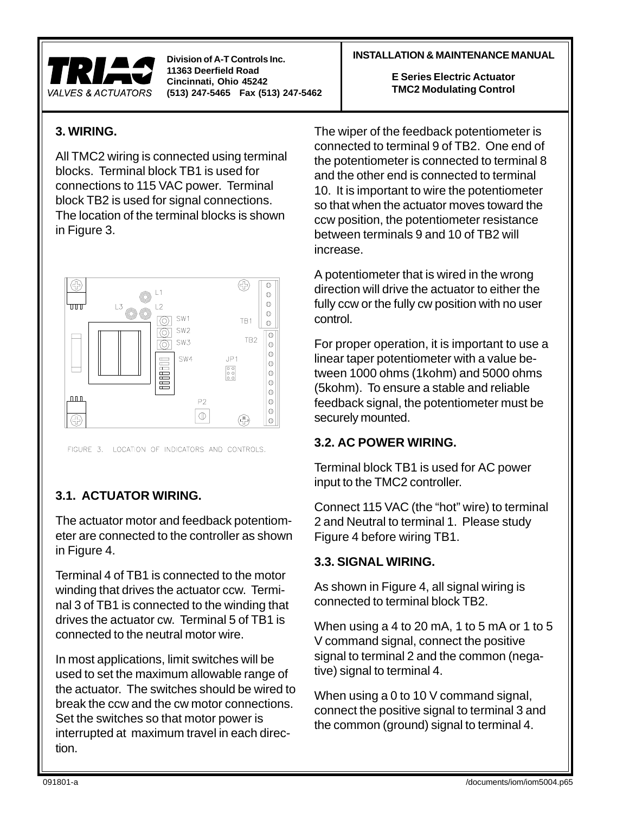

## **3. WIRING.**

All TMC2 wiring is connected using terminal blocks. Terminal block TB1 is used for connections to 115 VAC power. Terminal block TB2 is used for signal connections. The location of the terminal blocks is shown in Figure 3.



FIGURE 3. LOCATION OF INDICATORS AND CONTROLS.

## **3.1. ACTUATOR WIRING.**

The actuator motor and feedback potentiometer are connected to the controller as shown in Figure 4.

Terminal 4 of TB1 is connected to the motor winding that drives the actuator ccw. Terminal 3 of TB1 is connected to the winding that drives the actuator cw. Terminal 5 of TB1 is connected to the neutral motor wire.

In most applications, limit switches will be used to set the maximum allowable range of the actuator. The switches should be wired to break the ccw and the cw motor connections. Set the switches so that motor power is interrupted at maximum travel in each direction.

#### **INSTALLATION & MAINTENANCE MANUAL Division of A-T Controls Inc.**

**E Series Electric Actuator TMC2 Modulating Control**

The wiper of the feedback potentiometer is connected to terminal 9 of TB2. One end of the potentiometer is connected to terminal 8 and the other end is connected to terminal 10. It is important to wire the potentiometer so that when the actuator moves toward the ccw position, the potentiometer resistance between terminals 9 and 10 of TB2 will increase.

A potentiometer that is wired in the wrong direction will drive the actuator to either the fully ccw or the fully cw position with no user control.

For proper operation, it is important to use a linear taper potentiometer with a value between 1000 ohms (1kohm) and 5000 ohms (5kohm). To ensure a stable and reliable feedback signal, the potentiometer must be securely mounted.

## **3.2. AC POWER WIRING.**

Terminal block TB1 is used for AC power input to the TMC2 controller.

Connect 115 VAC (the "hot" wire) to terminal 2 and Neutral to terminal 1. Please study Figure 4 before wiring TB1.

## **3.3. SIGNAL WIRING.**

As shown in Figure 4, all signal wiring is connected to terminal block TB2.

When using a 4 to 20 mA, 1 to 5 mA or 1 to 5 V command signal, connect the positive signal to terminal 2 and the common (negative) signal to terminal 4.

When using a 0 to 10 V command signal, connect the positive signal to terminal 3 and the common (ground) signal to terminal 4.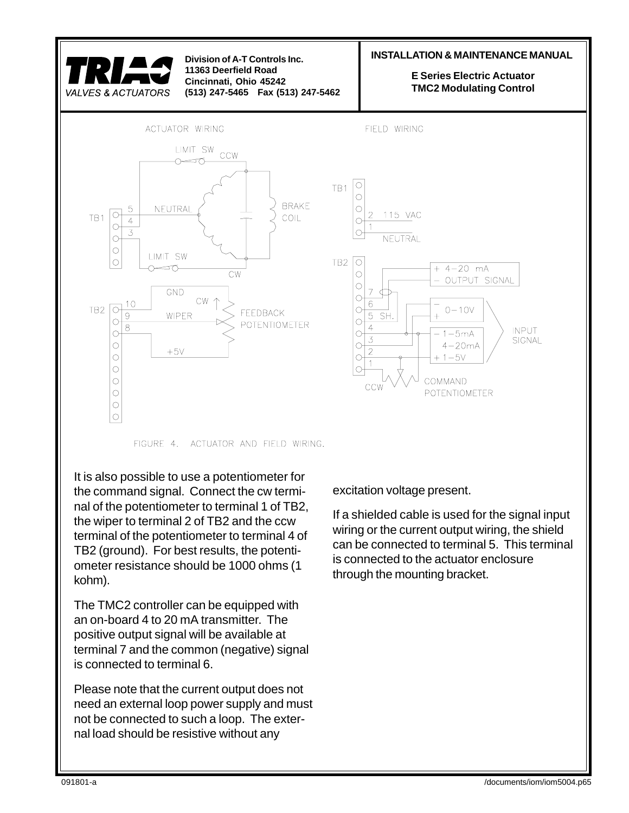

FIGURE 4. ACTUATOR AND FIELD WIRING.

It is also possible to use a potentiometer for the command signal. Connect the cw terminal of the potentiometer to terminal 1 of TB2, the wiper to terminal 2 of TB2 and the ccw terminal of the potentiometer to terminal 4 of TB2 (ground). For best results, the potentiometer resistance should be 1000 ohms (1 kohm).

The TMC2 controller can be equipped with an on-board 4 to 20 mA transmitter. The positive output signal will be available at terminal 7 and the common (negative) signal is connected to terminal 6.

Please note that the current output does not need an external loop power supply and must not be connected to such a loop. The external load should be resistive without any

excitation voltage present.

If a shielded cable is used for the signal input wiring or the current output wiring, the shield can be connected to terminal 5. This terminal is connected to the actuator enclosure through the mounting bracket.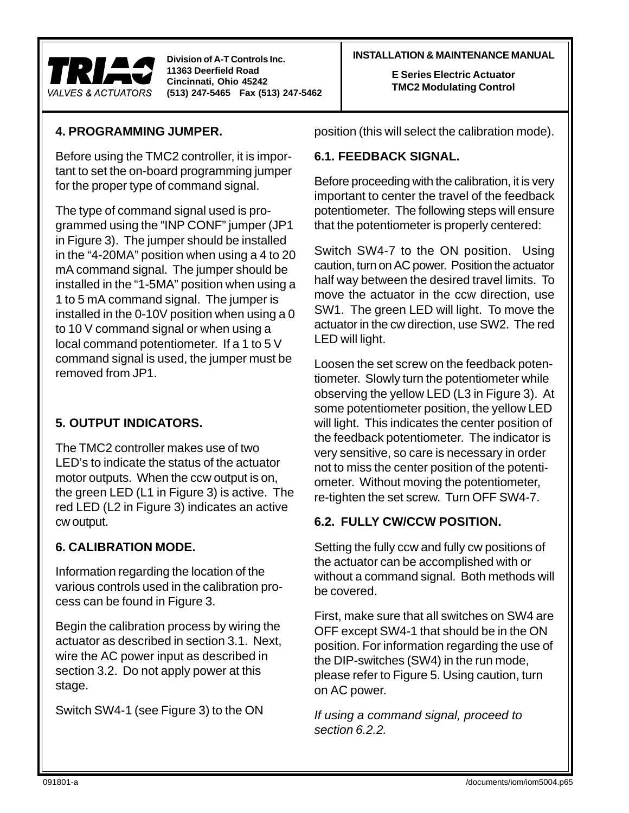

#### **INSTALLATION & MAINTENANCE MANUAL Division of A-T Controls Inc.**

**E Series Electric Actuator TMC2 Modulating Control**

## **4. PROGRAMMING JUMPER.**

Before using the TMC2 controller, it is important to set the on-board programming jumper for the proper type of command signal.

The type of command signal used is programmed using the "INP CONF" jumper (JP1 in Figure 3). The jumper should be installed in the "4-20MA" position when using a 4 to 20 mA command signal. The jumper should be installed in the "1-5MA" position when using a 1 to 5 mA command signal. The jumper is installed in the 0-10V position when using a 0 to 10 V command signal or when using a local command potentiometer. If a 1 to 5 V command signal is used, the jumper must be removed from JP1.

## **5. OUTPUT INDICATORS.**

The TMC2 controller makes use of two LED's to indicate the status of the actuator motor outputs. When the ccw output is on, the green LED (L1 in Figure 3) is active. The red LED (L2 in Figure 3) indicates an active cw output.

## **6. CALIBRATION MODE.**

Information regarding the location of the various controls used in the calibration process can be found in Figure 3.

Begin the calibration process by wiring the actuator as described in section 3.1. Next, wire the AC power input as described in section 3.2. Do not apply power at this stage.

Switch SW4-1 (see Figure 3) to the ON

position (this will select the calibration mode).

#### **6.1. FEEDBACK SIGNAL.**

Before proceeding with the calibration, it is very important to center the travel of the feedback potentiometer. The following steps will ensure that the potentiometer is properly centered:

Switch SW4-7 to the ON position. Using caution, turn on AC power. Position the actuator half way between the desired travel limits. To move the actuator in the ccw direction, use SW1. The green LED will light. To move the actuator in the cw direction, use SW2. The red LED will light.

Loosen the set screw on the feedback potentiometer. Slowly turn the potentiometer while observing the yellow LED (L3 in Figure 3). At some potentiometer position, the yellow LED will light. This indicates the center position of the feedback potentiometer. The indicator is very sensitive, so care is necessary in order not to miss the center position of the potentiometer. Without moving the potentiometer, re-tighten the set screw. Turn OFF SW4-7.

## **6.2. FULLY CW/CCW POSITION.**

Setting the fully ccw and fully cw positions of the actuator can be accomplished with or without a command signal. Both methods will be covered.

First, make sure that all switches on SW4 are OFF except SW4-1 that should be in the ON position. For information regarding the use of the DIP-switches (SW4) in the run mode, please refer to Figure 5. Using caution, turn on AC power.

If using a command signal, proceed to section 6.2.2.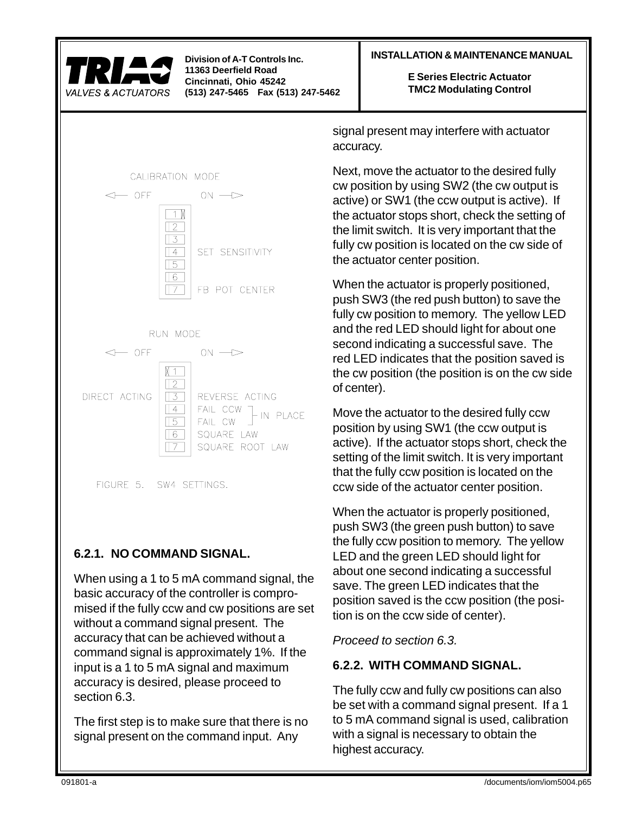

 $\leftarrow$  OFF

 $\leftarrow$  OFF

DIRECT ACTING

CALIBRATION MODE

 $\Box$  $\sqrt{2}$  $\sqrt{3}$  $\sqrt{4}$ 

 $\sqrt{5}$  $\sqrt{6}$  $\sqrt{7}$ 

RUN MODE

 $N$  1  $\Box$  $\sqrt{2}$ 

 $\sqrt{3}$ 

 $\sqrt{4}$ 

 $\sqrt{5}$ 

 $\sqrt{6}$ 

 $\Box$ 

 $ON \rightarrow$ 

SET SENSITIVITY

FB POT CENTER

REVERSE ACTING

SQUARE ROOT LAW

IN PLACE

 $ON \rightarrow$ 

FAIL CCW

SQUARE LAW

FAIL CW

**11363 Deerfield Road Cincinnati, Ohio 45242 (513) 247-5465 Fax (513) 247-5462**

#### **INSTALLATION & MAINTENANCE MANUAL Division of A-T Controls Inc.**

**E Series Electric Actuator TMC2 Modulating Control**

signal present may interfere with actuator accuracy.

Next, move the actuator to the desired fully cw position by using SW2 (the cw output is active) or SW1 (the ccw output is active). If the actuator stops short, check the setting of the limit switch. It is very important that the fully cw position is located on the cw side of the actuator center position.

When the actuator is properly positioned, push SW3 (the red push button) to save the fully cw position to memory. The yellow LED and the red LED should light for about one second indicating a successful save. The red LED indicates that the position saved is the cw position (the position is on the cw side of center).

Move the actuator to the desired fully ccw position by using SW1 (the ccw output is active). If the actuator stops short, check the setting of the limit switch. It is very important that the fully ccw position is located on the ccw side of the actuator center position.

When the actuator is properly positioned, push SW3 (the green push button) to save the fully ccw position to memory. The yellow LED and the green LED should light for about one second indicating a successful save. The green LED indicates that the position saved is the ccw position (the position is on the ccw side of center).

Proceed to section 6.3.

## **6.2.2. WITH COMMAND SIGNAL.**

The fully ccw and fully cw positions can also be set with a command signal present. If a 1 to 5 mA command signal is used, calibration with a signal is necessary to obtain the highest accuracy.

# **6.2.1. NO COMMAND SIGNAL.**

FIGURE 5. SW4 SETTINGS.

When using a 1 to 5 mA command signal, the basic accuracy of the controller is compromised if the fully ccw and cw positions are set without a command signal present. The accuracy that can be achieved without a command signal is approximately 1%. If the input is a 1 to 5 mA signal and maximum accuracy is desired, please proceed to section 6.3.

The first step is to make sure that there is no signal present on the command input. Any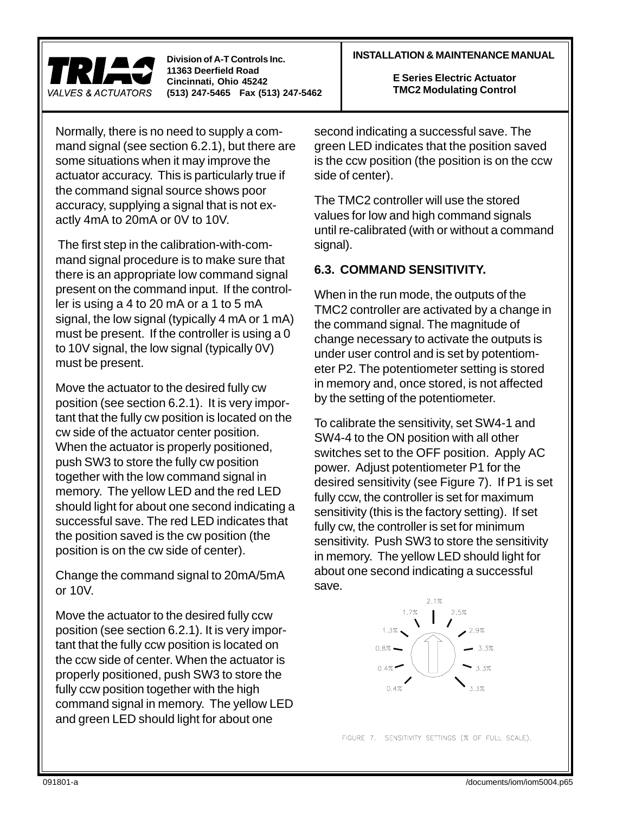

#### Normally, there is no need to supply a command signal (see section 6.2.1), but there are some situations when it may improve the actuator accuracy. This is particularly true if the command signal source shows poor accuracy, supplying a signal that is not exactly 4mA to 20mA or 0V to 10V.

 The first step in the calibration-with-command signal procedure is to make sure that there is an appropriate low command signal present on the command input. If the controller is using a 4 to 20 mA or a 1 to 5 mA signal, the low signal (typically 4 mA or 1 mA) must be present. If the controller is using a 0 to 10V signal, the low signal (typically 0V) must be present.

Move the actuator to the desired fully cw position (see section 6.2.1). It is very important that the fully cw position is located on the cw side of the actuator center position. When the actuator is properly positioned, push SW3 to store the fully cw position together with the low command signal in memory. The yellow LED and the red LED should light for about one second indicating a successful save. The red LED indicates that the position saved is the cw position (the position is on the cw side of center).

Change the command signal to 20mA/5mA or 10V.

Move the actuator to the desired fully ccw position (see section 6.2.1). It is very important that the fully ccw position is located on the ccw side of center. When the actuator is properly positioned, push SW3 to store the fully ccw position together with the high command signal in memory. The yellow LED and green LED should light for about one

#### **INSTALLATION & MAINTENANCE MANUAL Division of A-T Controls Inc.**

**E Series Electric Actuator TMC2 Modulating Control**

second indicating a successful save. The green LED indicates that the position saved is the ccw position (the position is on the ccw side of center).

The TMC2 controller will use the stored values for low and high command signals until re-calibrated (with or without a command signal).

#### **6.3. COMMAND SENSITIVITY.**

When in the run mode, the outputs of the TMC2 controller are activated by a change in the command signal. The magnitude of change necessary to activate the outputs is under user control and is set by potentiometer P2. The potentiometer setting is stored in memory and, once stored, is not affected by the setting of the potentiometer.

To calibrate the sensitivity, set SW4-1 and SW4-4 to the ON position with all other switches set to the OFF position. Apply AC power. Adjust potentiometer P1 for the desired sensitivity (see Figure 7). If P1 is set fully ccw, the controller is set for maximum sensitivity (this is the factory setting). If set fully cw, the controller is set for minimum sensitivity. Push SW3 to store the sensitivity in memory. The yellow LED should light for about one second indicating a successful save.



FIGURE 7. SENSITIVITY SETTINGS (% OF FULL SCALE).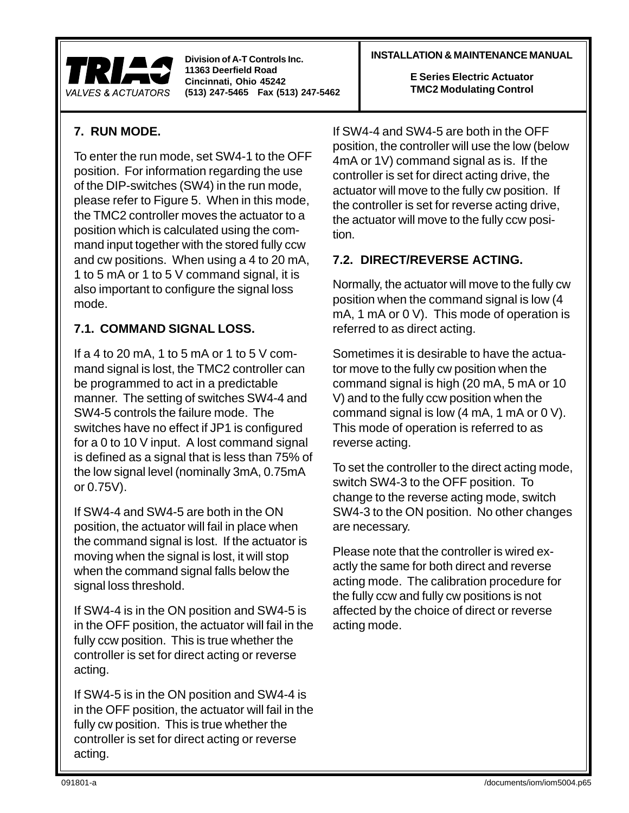

#### **INSTALLATION & MAINTENANCE MANUAL Division of A-T Controls Inc.**

**E Series Electric Actuator TMC2 Modulating Control**

## **7. RUN MODE.**

To enter the run mode, set SW4-1 to the OFF position. For information regarding the use of the DIP-switches (SW4) in the run mode, please refer to Figure 5. When in this mode, the TMC2 controller moves the actuator to a position which is calculated using the command input together with the stored fully ccw and cw positions. When using a 4 to 20 mA, 1 to 5 mA or 1 to 5 V command signal, it is also important to configure the signal loss mode.

## **7.1. COMMAND SIGNAL LOSS.**

If a 4 to 20 mA, 1 to 5 mA or 1 to 5 V command signal is lost, the TMC2 controller can be programmed to act in a predictable manner. The setting of switches SW4-4 and SW4-5 controls the failure mode. The switches have no effect if JP1 is configured for a 0 to 10 V input. A lost command signal is defined as a signal that is less than 75% of the low signal level (nominally 3mA, 0.75mA or 0.75V).

If SW4-4 and SW4-5 are both in the ON position, the actuator will fail in place when the command signal is lost. If the actuator is moving when the signal is lost, it will stop when the command signal falls below the signal loss threshold.

If SW4-4 is in the ON position and SW4-5 is in the OFF position, the actuator will fail in the fully ccw position. This is true whether the controller is set for direct acting or reverse acting.

If SW4-5 is in the ON position and SW4-4 is in the OFF position, the actuator will fail in the fully cw position. This is true whether the controller is set for direct acting or reverse acting.

If SW4-4 and SW4-5 are both in the OFF position, the controller will use the low (below 4mA or 1V) command signal as is. If the controller is set for direct acting drive, the actuator will move to the fully cw position. If the controller is set for reverse acting drive, the actuator will move to the fully ccw position.

## **7.2. DIRECT/REVERSE ACTING.**

Normally, the actuator will move to the fully cw position when the command signal is low (4 mA, 1 mA or 0 V). This mode of operation is referred to as direct acting.

Sometimes it is desirable to have the actuator move to the fully cw position when the command signal is high (20 mA, 5 mA or 10 V) and to the fully ccw position when the command signal is low (4 mA, 1 mA or 0 V). This mode of operation is referred to as reverse acting.

To set the controller to the direct acting mode, switch SW4-3 to the OFF position. To change to the reverse acting mode, switch SW4-3 to the ON position. No other changes are necessary.

Please note that the controller is wired exactly the same for both direct and reverse acting mode. The calibration procedure for the fully ccw and fully cw positions is not affected by the choice of direct or reverse acting mode.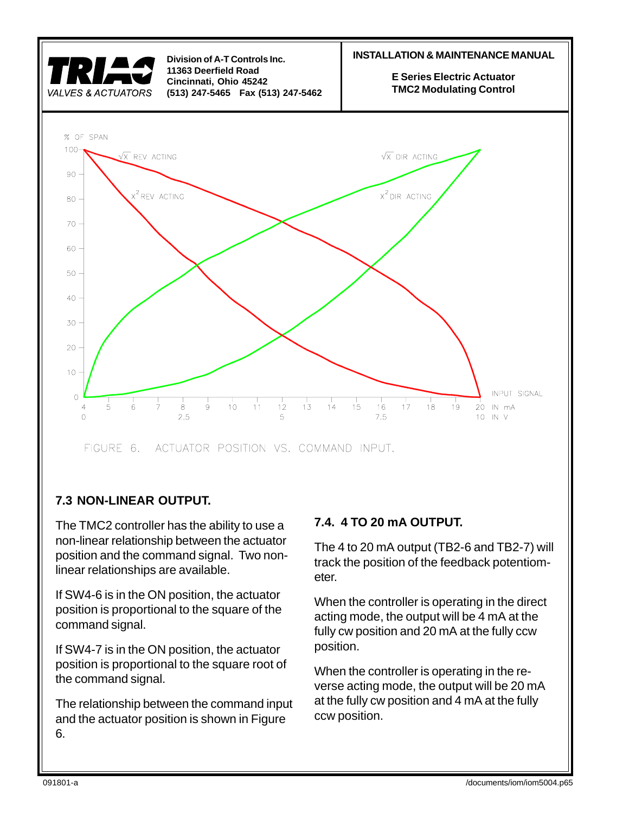

## **7.3 NON-LINEAR OUTPUT.**

The TMC2 controller has the ability to use a non-linear relationship between the actuator position and the command signal. Two nonlinear relationships are available.

If SW4-6 is in the ON position, the actuator position is proportional to the square of the command signal.

If SW4-7 is in the ON position, the actuator position is proportional to the square root of the command signal.

The relationship between the command input and the actuator position is shown in Figure 6.

## **7.4. 4 TO 20 mA OUTPUT.**

The 4 to 20 mA output (TB2-6 and TB2-7) will track the position of the feedback potentiometer.

When the controller is operating in the direct acting mode, the output will be 4 mA at the fully cw position and 20 mA at the fully ccw position.

When the controller is operating in the reverse acting mode, the output will be 20 mA at the fully cw position and 4 mA at the fully ccw position.